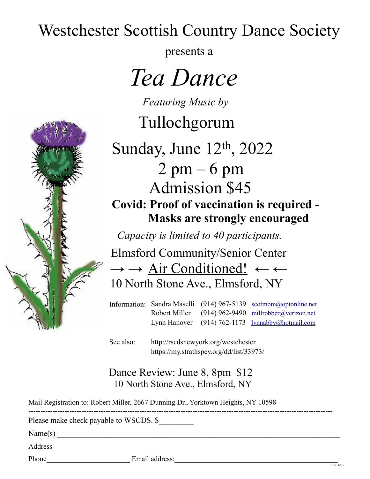## Westchester Scottish Country Dance Society

presents a

 *Tea Dance*

*Featuring Music by*

Tullochgorum

Sunday, June 12th, 2022  $2 \text{ pm} - 6 \text{ pm}$  Admission \$45 **Covid: Proof of vaccination is required - Masks are strongly encouraged**

 *Capacity is limited to 40 participants.*

 Elmsford Community/Senior Center  $\rightarrow \rightarrow$  Air Conditioned!  $\leftarrow$ 10 North Stone Ave., Elmsford, NY

Information: Sandra Maselli (914) 967-5139 scotmom@optonline.net Robert Miller (914) 962-9490 millrobber@verizon.net Lynn Hanover (914) 762-1173 lynnabby@hotmail.com

See also: http://rscdsnewyork.org/westchester https://my.strathspey.org/dd/list/33973/

## Dance Review: June 8, 8pm \$12 10 North Stone Ave., Elmsford, NY

------------------------------------------------------------------------------------------------------------------------------

Mail Registration to: Robert Miller, 2667 Dunning Dr., Yorktown Heights, NY 10598

Please make check payable to WSCDS. \$

 $Name(s)$ 

 $\sim$   $\sim$ 

Address

Phone **Email address:**